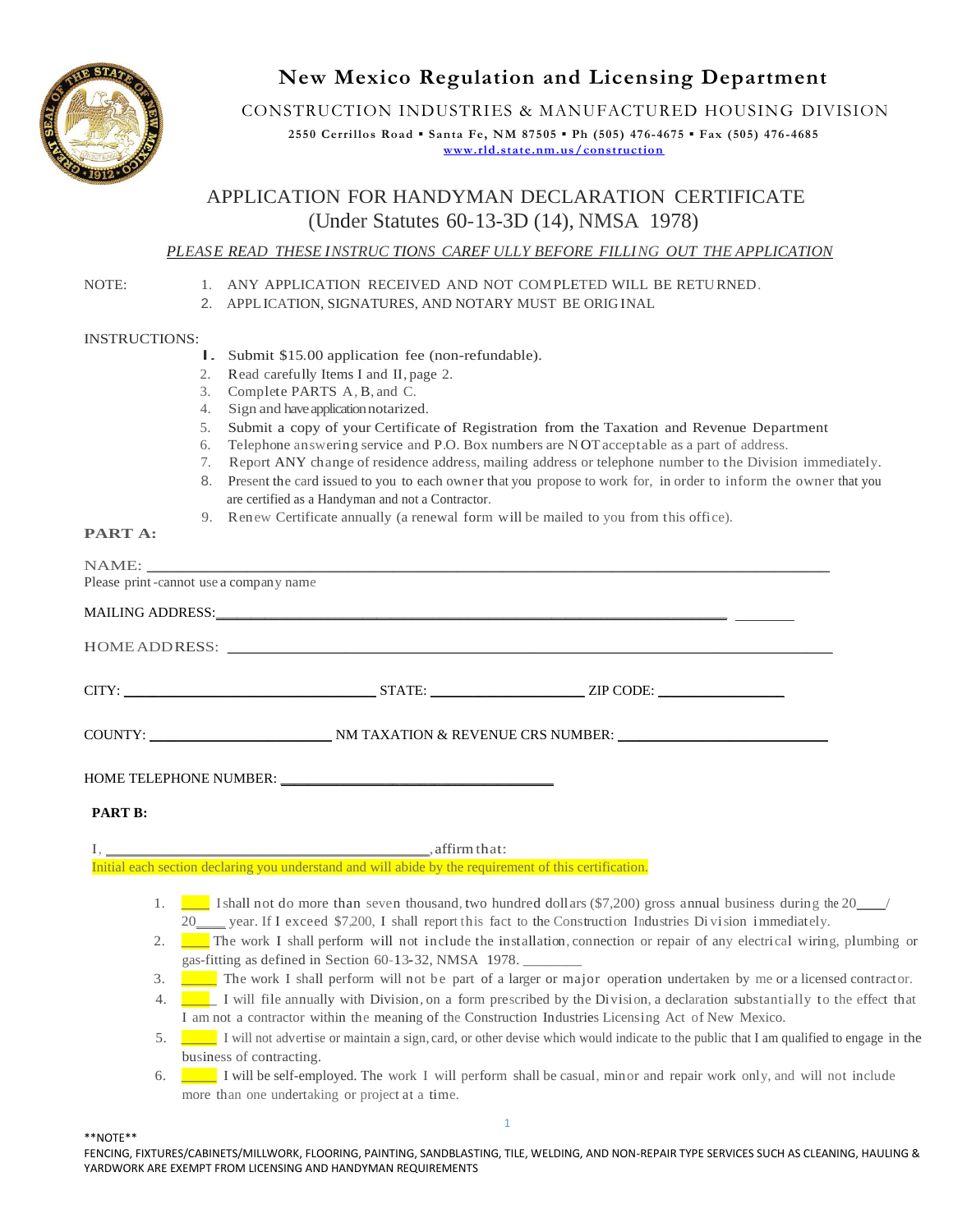

# **New Mexico Regulation and Licensing Department**

CONSTRUCTION INDUSTRIES & MANUFACTURED HOUSING DIVISION

**2550 Cerrillos Road ▪ Santa Fe, NM 87505 ▪ Ph (505) 476-4675 ▪ Fax (505) 476-4685 [www.rld.state.nm.us/construction](http://www.rld.state.nm.us/construction)**

# APPLICATION FOR HANDYMAN DECLARATION CERTIFICATE (Under Statutes 60-13-3D (14), NMSA 1978)

### *PLEASE READ THESE INSTRUC TIONS CAREF ULLY BEFORE FILLING OUT THE APPLICATION*

NOTE: 1. ANY APPLICATION RECEIVED AND NOT COMPLETED WILL BE RETURNED.

2. APPLICATION, SIGNATURES, AND NOTARY MUST BE ORIG INAL

### INSTRUCTIONS:

- I. Submit \$15.00 application fee (non-refundable).
- 2. Read carefully Items I and II, page 2.
- 3. Complete PARTS A, B, and C.
- 4. Sign and have application notarized.
- 5. Submit a copy of your Certificate of Registration from the Taxation and Revenue Department
- 6. Telephone answering service and P.O. Box numbers are N OTacceptable as a part of address.
- 7. Report ANY change of residence address, mailing address or telephone number to the Division immediately.
- 8. Present the card issued to you to each owner that you propose to work for, in order to inform the owner that you are certified as a Handyman and not a Contractor.
- 9. Renew Certificate annually (a renewal form will be mailed to you from this office).

### **PART A:**

|                | NAME: New York Contract the Contract of the Contract of the Contract of the Contract of the Contract of the Contract of the Contract of the Contract of the Contract of the Contract of the Contract of the Contract of the Co                                                                                                                                                                                                                                                                                                 |
|----------------|--------------------------------------------------------------------------------------------------------------------------------------------------------------------------------------------------------------------------------------------------------------------------------------------------------------------------------------------------------------------------------------------------------------------------------------------------------------------------------------------------------------------------------|
|                | Please print-cannot use a company name                                                                                                                                                                                                                                                                                                                                                                                                                                                                                         |
|                |                                                                                                                                                                                                                                                                                                                                                                                                                                                                                                                                |
|                |                                                                                                                                                                                                                                                                                                                                                                                                                                                                                                                                |
|                |                                                                                                                                                                                                                                                                                                                                                                                                                                                                                                                                |
|                | COUNTY: ___________________________________NM TAXATION & REVENUE CRS NUMBER: _______________________                                                                                                                                                                                                                                                                                                                                                                                                                           |
|                |                                                                                                                                                                                                                                                                                                                                                                                                                                                                                                                                |
| <b>PART B:</b> |                                                                                                                                                                                                                                                                                                                                                                                                                                                                                                                                |
|                | $I, \underline{\hspace{2.5cm}} \text{, } \underline{\hspace{2.5cm}} \text{, } \underline{\hspace{2.5cm}} \text{, } \underline{\hspace{2.5cm}} \text{, } \underline{\hspace{2.5cm}} \text{, } \underline{\hspace{2.5cm}} \text{, } \underline{\hspace{2.5cm}} \text{, } \underline{\hspace{2.5cm}} \text{, } \underline{\hspace{2.5cm}} \text{, } \underline{\hspace{2.5cm}} \text{, } \underline{\hspace{2.5cm}} \text{, } \underline{\hspace{2.5cm}} \text{, } \underline{\hspace{2.5cm}} \text{, } \underline{\hspace{2.5cm$ |
|                | Initial each section declaring you understand and will abide by the requirement of this certification.                                                                                                                                                                                                                                                                                                                                                                                                                         |
|                | 1. $\blacksquare$ I shall not do more than seven thousand, two hundred dollars (\$7,200) gross annual business during the 20 /<br>20____ year. If I exceed \$7,200, I shall report this fact to the Construction Industries Division immediately.                                                                                                                                                                                                                                                                              |
|                | 2. The work I shall perform will not include the installation, connection or repair of any electrical wiring, plumbing or<br>gas-fitting as defined in Section 60-13-32, NMSA 1978.                                                                                                                                                                                                                                                                                                                                            |
| 3.             | The work I shall perform will not be part of a larger or major operation undertaken by me or a licensed contractor.                                                                                                                                                                                                                                                                                                                                                                                                            |

- 4. **\_\_\_\_\_** I will file annually with Division, on a form prescribed by the Division, a declaration substantially to the effect that I am not a contractor within the meaning of the Construction Industries Licensing Act of New Mexico.
- 5. **\_\_\_\_\_** I will not advertise or maintain a sign, card, or other devise which would indicate to the public that I am qualified to engage in the business of contracting.
- 6. **\_\_\_\_\_** I will be self-employed. The work I will perform shall be casual, minor and repair work only, and will not include more than one undertaking or project at a time.

### \*\*NOTE\*\*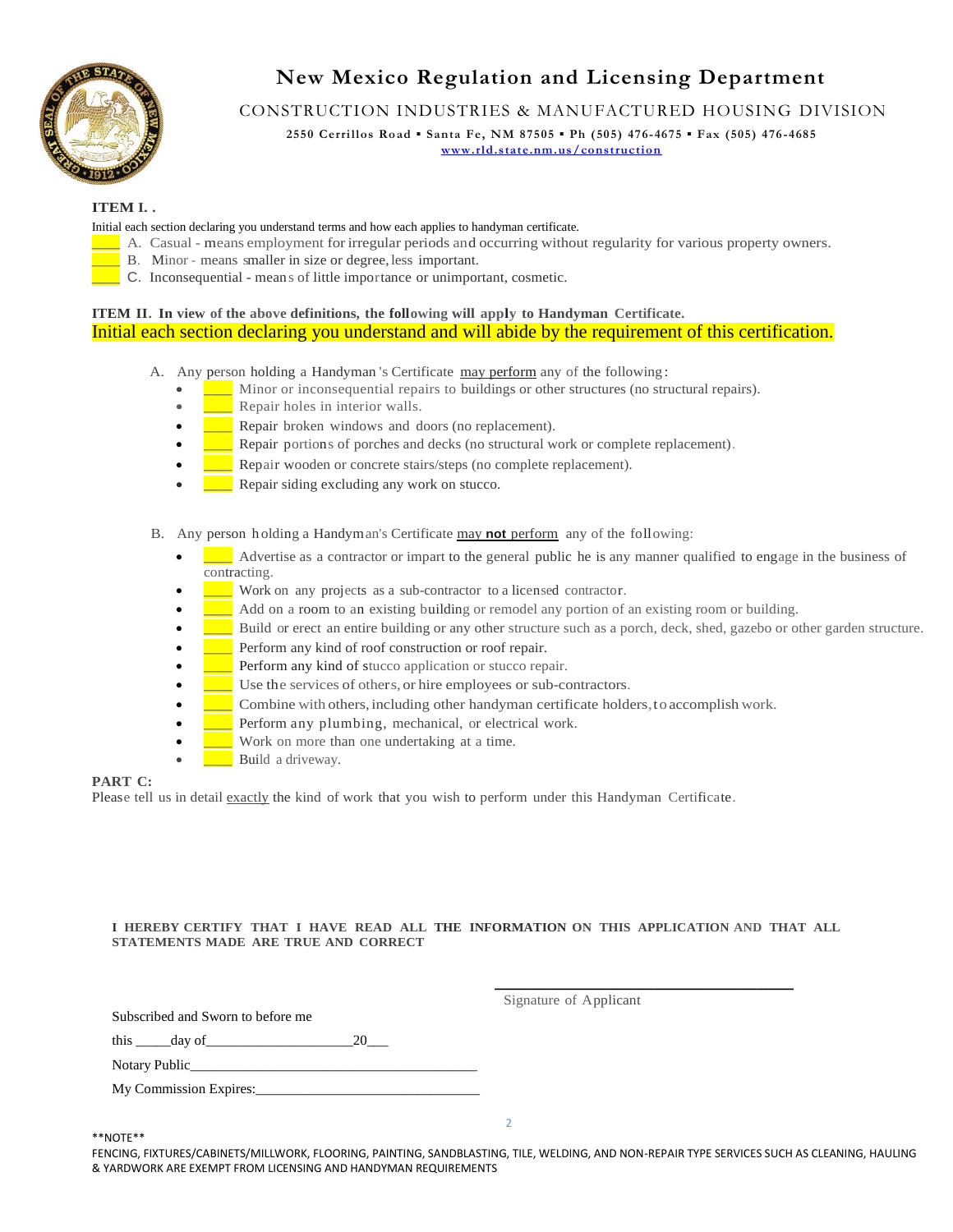

# **New Mexico Regulation and Licensing Department**

## CONSTRUCTION INDUSTRIES & MANUFACTURED HOUSING DIVISION

**2550 Cerrillos Road ▪ Santa Fe, NM 87505 ▪ Ph (505) 476-4675 ▪ Fax (505) 476-4685 [www.rld.state.nm.us/construction](http://www.rld.state.nm.us/construction)**

### **ITEM I. .**

Initial each section declaring you understand terms and how each applies to handyman certificate.

- **\_\_\_\_** A. Casual means employment forirregular periods and occurring without regularity for various property owners.
	- B. Minor means smaller in size or degree, less important.
	- **\_\_\_\_** C. Inconsequential means of little importance or unimportant, cosmetic.

### **ITEM II. In view of the above definitions, the following will apply to Handyman Certificate.** Initial each section declaring you understand and will abide by the requirement of this certification.

A. Any person holding a Handyman 's Certificate may perform any of the following:

- **\_\_\_\_** Minor or inconsequential repairs to buildings or other structures (no structural repairs).
- **\_\_\_\_** Repair holes in interior walls.
- **Lexister 2** Repair broken windows and doors (no replacement).
- **\_\_\_\_** Repair portions of porches and decks (no structural work or complete replacement).
- **EXECUTE:** Repair wooden or concrete stairs/steps (no complete replacement).
- **EXECUTE:** Repair siding excluding any work on stucco.
- B. Any person h olding a Handyman's Certificate may **not** perform any of the following:
	- **Luccellenger as a contractor or impart to the general public he is any manner qualified to engage in the business of** contracting.
	- **Work on any projects as a sub-contractor to a licensed contractor.**
	- **\_\_\_\_** Add on a room to an existing building or remodel any portion of an existing room or building.
	- **\_\_\_\_** Build or erect an entire building or any other structure such as a porch, deck, shed, gazebo or other garden structure.
	- **Perform any kind of roof construction or roof repair.**
	- **• \_\_\_** Perform any kind of stucco application or stucco repair.
	- **\_\_\_\_** Use the services of others, or hire employees or sub-contractors.
	- **Combine with others, including other handyman certificate holders, to accomplish work.**
	- Perform any plumbing, mechanical, or electrical work.
	- **\_\_\_\_** Work on more than one undertaking at a time.
	- **\_\_\_\_** Build a driveway.

### **PART C:**

Please tell us in detail exactly the kind of work that you wish to perform under this Handyman Certificate.

#### **I HEREBY CERTIFY THAT I HAVE READ ALL THE INFORMATION ON THIS APPLICATION AND THAT ALL STATEMENTS MADE ARE TRUE AND CORRECT**

 **\_\_\_\_\_\_\_\_\_\_\_\_\_\_\_\_\_\_\_\_\_\_\_\_\_\_\_\_\_\_\_\_**

Subscribed and Sworn to before me

Signature of Applicant

this day of 20

| Notary Public |
|---------------|
|               |

My Commission Expires:

\*\*NOTE\*\*

FENCING, FIXTURES/CABINETS/MILLWORK, FLOORING, PAINTING, SANDBLASTING, TILE, WELDING, AND NON-REPAIR TYPE SERVICES SUCH AS CLEANING, HAULING & YARDWORK ARE EXEMPT FROM LICENSING AND HANDYMAN REQUIREMENTS

 $\overline{2}$